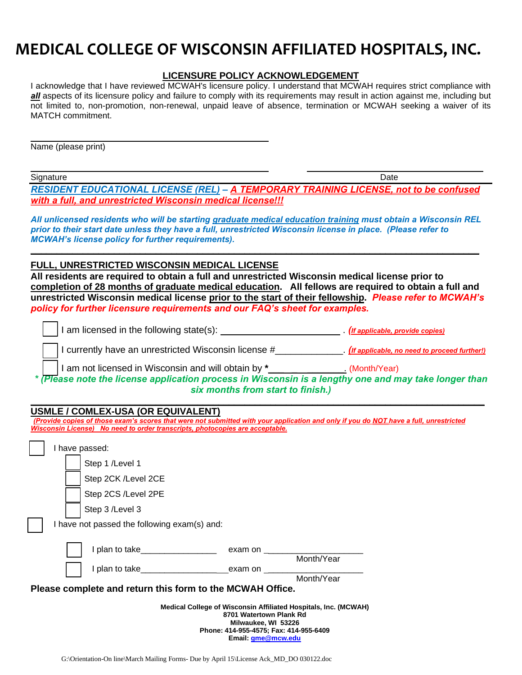# **MEDICAL COLLEGE OF WISCONSIN AFFILIATED HOSPITALS, INC.**

#### **LICENSURE POLICY ACKNOWLEDGEMENT**

I acknowledge that I have reviewed MCWAH's licensure policy. I understand that MCWAH requires strict compliance with *all* aspects of its licensure policy and failure to comply with its requirements may result in action against me, including but not limited to, non-promotion, non-renewal, unpaid leave of absence, termination or MCWAH seeking a waiver of its MATCH commitment.

Name (please print)

Signature Date (2001) and the Signature Date of the Signature Date of the Date of the Date of the Date of the D

*RESIDENT EDUCATIONAL LICENSE (REL) – A TEMPORARY TRAINING LICENSE, not to be confused with a full, and unrestricted Wisconsin medical license!!!*

*All unlicensed residents who will be starting graduate medical education training must obtain a Wisconsin REL prior to their start date unless they have a full, unrestricted Wisconsin license in place. (Please refer to MCWAH's license policy for further requirements).*

**\_\_\_\_\_\_\_\_\_\_\_\_\_\_\_\_\_\_\_\_\_\_\_\_\_\_\_\_\_\_\_\_\_\_\_\_\_\_\_\_\_\_\_\_\_\_\_\_\_\_\_\_\_\_\_\_\_\_\_\_\_\_\_\_\_\_\_\_\_\_\_\_\_\_\_\_\_\_\_\_\_\_\_\_\_\_**

**FULL, UNRESTRICTED WISCONSIN MEDICAL LICENSE** 

**All residents are required to obtain a full and unrestricted Wisconsin medical license prior to completion of 28 months of graduate medical education. All fellows are required to obtain a full and unrestricted Wisconsin medical license prior to the start of their fellowship.** *Please refer to MCWAH's policy for further licensure requirements and our FAQ's sheet for examples.*

| I am licensed in the following state(s): | (If applicable, provide copies) |
|------------------------------------------|---------------------------------|
|------------------------------------------|---------------------------------|

❑ I currently have an unrestricted Wisconsin license #\_\_\_\_\_\_\_\_\_\_\_\_\_. *(If applicable, no need to proceed further!)*

❑ I am not licensed in Wisconsin and will obtain by **\***\_\_\_ \_ \_\_\_\_\_\_\_. (Month/Year)

*\* (Please note the license application process in Wisconsin is a lengthy one and may take longer than six months from start to finish.)*

**\_\_\_\_\_\_\_\_\_\_\_\_\_\_\_\_\_\_\_\_\_\_\_\_\_\_\_\_\_\_\_\_\_\_\_\_\_\_\_\_\_\_\_\_\_\_\_\_\_\_\_\_\_\_\_\_\_\_\_\_\_\_\_\_\_\_\_\_\_\_\_\_\_\_\_\_\_\_\_\_\_\_\_\_\_\_\_**

## **USMLE / COMLEX-USA (OR EQUIVALENT)**

*(Provide copies of those exam's scores that were not submitted with your application and only if you do NOT have a full, unrestricted Wisconsin License) No need to order transcripts, photocopies are acceptable.*

| I have passed:                                                                                                                                              |                                                                                                                                                                                                                                |            |
|-------------------------------------------------------------------------------------------------------------------------------------------------------------|--------------------------------------------------------------------------------------------------------------------------------------------------------------------------------------------------------------------------------|------------|
| Step 1 /Level 1                                                                                                                                             |                                                                                                                                                                                                                                |            |
| Step 2CK /Level 2CE                                                                                                                                         |                                                                                                                                                                                                                                |            |
| Step 2CS /Level 2PE                                                                                                                                         |                                                                                                                                                                                                                                |            |
| Step 3 /Level 3                                                                                                                                             |                                                                                                                                                                                                                                |            |
| I have not passed the following exam(s) and:                                                                                                                |                                                                                                                                                                                                                                |            |
| I plan to take <u>contained</u>                                                                                                                             | exam on the contract of the contract of the contract of the contract of the contract of the contract of the contract of the contract of the contract of the contract of the contract of the contract of the contract of the co |            |
|                                                                                                                                                             |                                                                                                                                                                                                                                | Month/Year |
| I plan to take exam on                                                                                                                                      |                                                                                                                                                                                                                                | Month/Year |
| Please complete and return this form to the MCWAH Office.                                                                                                   |                                                                                                                                                                                                                                |            |
| Medical College of Wisconsin Affiliated Hospitals, Inc. (MCWAH)<br>8701 Watertown Plank Rd<br>Milwaukee, WI 53226<br>Phone: 414-955-4575; Fax: 414-955-6409 |                                                                                                                                                                                                                                |            |
|                                                                                                                                                             | Email: gme@mcw.edu                                                                                                                                                                                                             |            |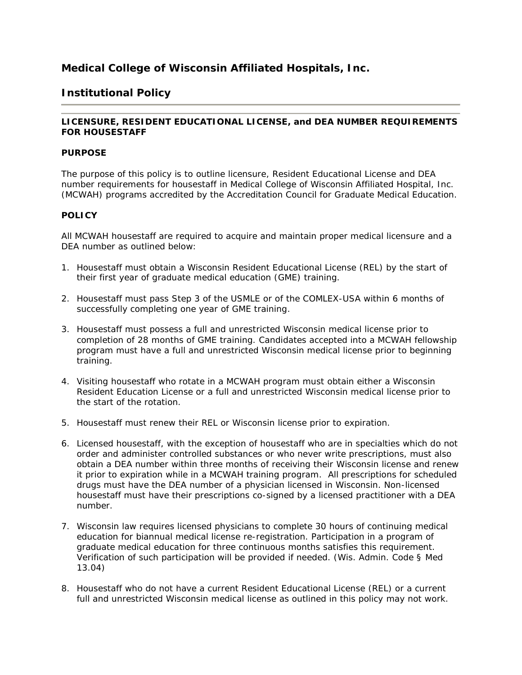## **Medical College of Wisconsin Affiliated Hospitals, Inc.**

## **Institutional Policy**

## **LICENSURE, RESIDENT EDUCATIONAL LICENSE, and DEA NUMBER REQUIREMENTS FOR HOUSESTAFF**

#### **PURPOSE**

The purpose of this policy is to outline licensure, Resident Educational License and DEA number requirements for housestaff in Medical College of Wisconsin Affiliated Hospital, Inc. (MCWAH) programs accredited by the Accreditation Council for Graduate Medical Education.

## **POLICY**

All MCWAH housestaff are required to acquire and maintain proper medical licensure and a DEA number as outlined below:

- 1. Housestaff must obtain a Wisconsin Resident Educational License (REL) by the start of their first year of graduate medical education (GME) training.
- 2. Housestaff must pass Step 3 of the USMLE or of the COMLEX-USA within 6 months of successfully completing one year of GME training.
- 3. Housestaff must possess a full and unrestricted Wisconsin medical license prior to completion of 28 months of GME training. Candidates accepted into a MCWAH fellowship program must have a full and unrestricted Wisconsin medical license prior to beginning training.
- 4. Visiting housestaff who rotate in a MCWAH program must obtain either a Wisconsin Resident Education License or a full and unrestricted Wisconsin medical license prior to the start of the rotation.
- 5. Housestaff must renew their REL or Wisconsin license prior to expiration.
- 6. Licensed housestaff, with the exception of housestaff who are in specialties which do not order and administer controlled substances or who never write prescriptions, must also obtain a DEA number within three months of receiving their Wisconsin license and renew it prior to expiration while in a MCWAH training program. All prescriptions for scheduled drugs must have the DEA number of a physician licensed in Wisconsin. Non-licensed housestaff must have their prescriptions co-signed by a licensed practitioner with a DEA number.
- 7. Wisconsin law requires licensed physicians to complete 30 hours of continuing medical education for biannual medical license re-registration. Participation in a program of graduate medical education for three continuous months satisfies this requirement. Verification of such participation will be provided if needed. (Wis. Admin. Code § Med 13.04)
- 8. Housestaff who do not have a current Resident Educational License (REL) or a current full and unrestricted Wisconsin medical license as outlined in this policy may not work.